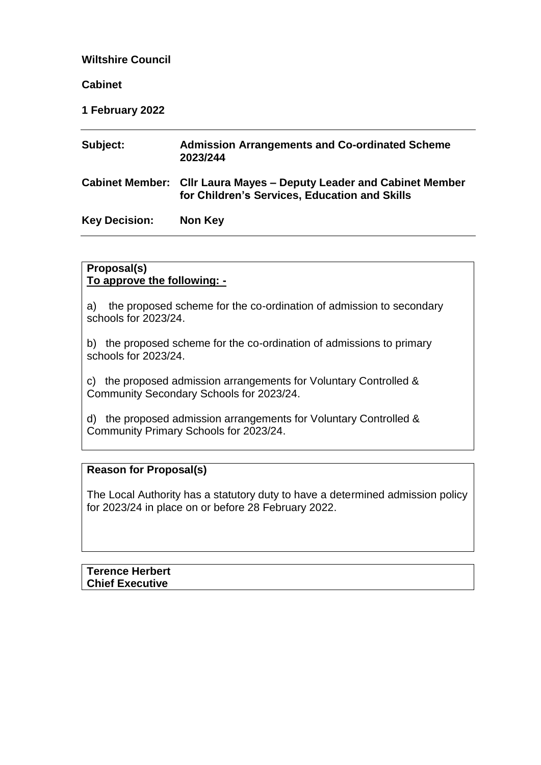### **Wiltshire Council**

#### **Cabinet**

#### **1 February 2022**

| Subject:             | <b>Admission Arrangements and Co-ordinated Scheme</b><br>2023/244                                                    |
|----------------------|----------------------------------------------------------------------------------------------------------------------|
|                      | Cabinet Member: Cllr Laura Mayes – Deputy Leader and Cabinet Member<br>for Children's Services, Education and Skills |
| <b>Key Decision:</b> | Non Key                                                                                                              |

### **Proposal(s) To approve the following: -**

a) the proposed scheme for the co-ordination of admission to secondary schools for 2023/24.

b) the proposed scheme for the co-ordination of admissions to primary schools for 2023/24.

c) the proposed admission arrangements for Voluntary Controlled & Community Secondary Schools for 2023/24.

d) the proposed admission arrangements for Voluntary Controlled & Community Primary Schools for 2023/24.

#### **Reason for Proposal(s)**

The Local Authority has a statutory duty to have a determined admission policy for 2023/24 in place on or before 28 February 2022.

**Terence Herbert Chief Executive**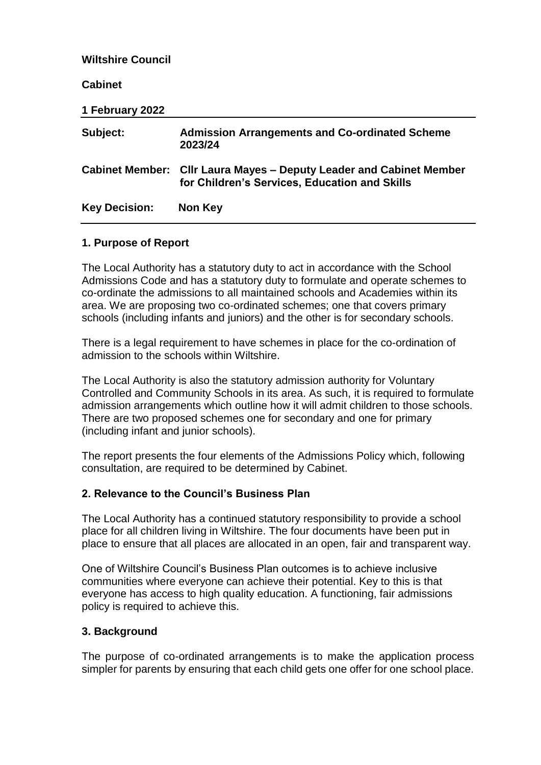| <b>Wiltshire Council</b> |                                                                                                                             |
|--------------------------|-----------------------------------------------------------------------------------------------------------------------------|
| <b>Cabinet</b>           |                                                                                                                             |
| 1 February 2022          |                                                                                                                             |
| Subject:                 | <b>Admission Arrangements and Co-ordinated Scheme</b><br>2023/24                                                            |
|                          | <b>Cabinet Member: Cllr Laura Mayes – Deputy Leader and Cabinet Member</b><br>for Children's Services, Education and Skills |
| <b>Key Decision:</b>     | Non Key                                                                                                                     |

## **1. Purpose of Report**

The Local Authority has a statutory duty to act in accordance with the School Admissions Code and has a statutory duty to formulate and operate schemes to co-ordinate the admissions to all maintained schools and Academies within its area. We are proposing two co-ordinated schemes; one that covers primary schools (including infants and juniors) and the other is for secondary schools.

There is a legal requirement to have schemes in place for the co-ordination of admission to the schools within Wiltshire.

The Local Authority is also the statutory admission authority for Voluntary Controlled and Community Schools in its area. As such, it is required to formulate admission arrangements which outline how it will admit children to those schools. There are two proposed schemes one for secondary and one for primary (including infant and junior schools).

The report presents the four elements of the Admissions Policy which, following consultation, are required to be determined by Cabinet.

#### **2. Relevance to the Council's Business Plan**

The Local Authority has a continued statutory responsibility to provide a school place for all children living in Wiltshire. The four documents have been put in place to ensure that all places are allocated in an open, fair and transparent way.

One of Wiltshire Council's Business Plan outcomes is to achieve inclusive communities where everyone can achieve their potential. Key to this is that everyone has access to high quality education. A functioning, fair admissions policy is required to achieve this.

#### **3. Background**

The purpose of co-ordinated arrangements is to make the application process simpler for parents by ensuring that each child gets one offer for one school place.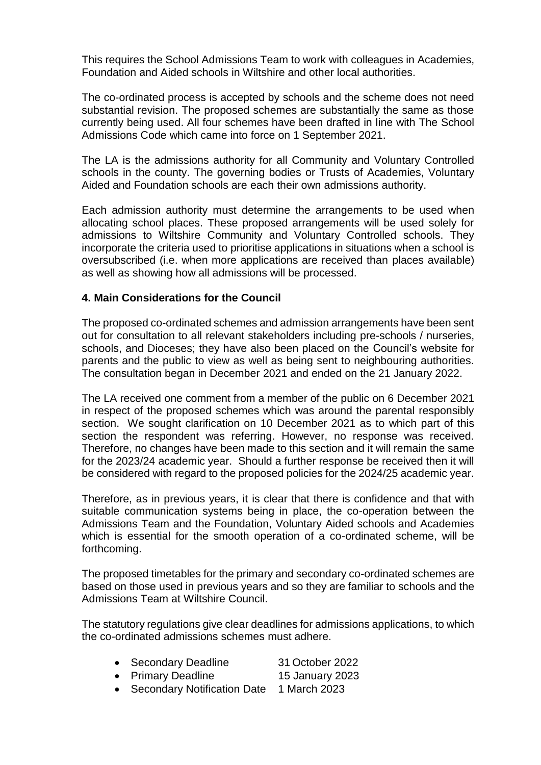This requires the School Admissions Team to work with colleagues in Academies, Foundation and Aided schools in Wiltshire and other local authorities.

The co-ordinated process is accepted by schools and the scheme does not need substantial revision. The proposed schemes are substantially the same as those currently being used. All four schemes have been drafted in line with The School Admissions Code which came into force on 1 September 2021.

The LA is the admissions authority for all Community and Voluntary Controlled schools in the county. The governing bodies or Trusts of Academies, Voluntary Aided and Foundation schools are each their own admissions authority.

Each admission authority must determine the arrangements to be used when allocating school places. These proposed arrangements will be used solely for admissions to Wiltshire Community and Voluntary Controlled schools. They incorporate the criteria used to prioritise applications in situations when a school is oversubscribed (i.e. when more applications are received than places available) as well as showing how all admissions will be processed.

#### **4. Main Considerations for the Council**

The proposed co-ordinated schemes and admission arrangements have been sent out for consultation to all relevant stakeholders including pre-schools / nurseries, schools, and Dioceses; they have also been placed on the Council's website for parents and the public to view as well as being sent to neighbouring authorities. The consultation began in December 2021 and ended on the 21 January 2022.

The LA received one comment from a member of the public on 6 December 2021 in respect of the proposed schemes which was around the parental responsibly section. We sought clarification on 10 December 2021 as to which part of this section the respondent was referring. However, no response was received. Therefore, no changes have been made to this section and it will remain the same for the 2023/24 academic year. Should a further response be received then it will be considered with regard to the proposed policies for the 2024/25 academic year.

Therefore, as in previous years, it is clear that there is confidence and that with suitable communication systems being in place, the co-operation between the Admissions Team and the Foundation, Voluntary Aided schools and Academies which is essential for the smooth operation of a co-ordinated scheme, will be forthcoming.

The proposed timetables for the primary and secondary co-ordinated schemes are based on those used in previous years and so they are familiar to schools and the Admissions Team at Wiltshire Council.

The statutory regulations give clear deadlines for admissions applications, to which the co-ordinated admissions schemes must adhere.

- Secondary Deadline 31 October 2022
- Primary Deadline 15 January 2023
- Secondary Notification Date 1 March 2023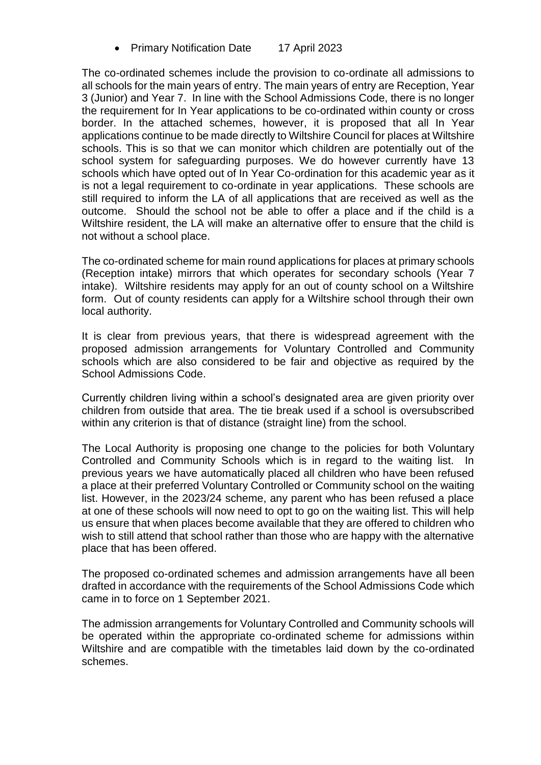• Primary Notification Date 17 April 2023

The co-ordinated schemes include the provision to co-ordinate all admissions to all schools for the main years of entry. The main years of entry are Reception, Year 3 (Junior) and Year 7. In line with the School Admissions Code, there is no longer the requirement for In Year applications to be co-ordinated within county or cross border. In the attached schemes, however, it is proposed that all In Year applications continue to be made directly to Wiltshire Council for places at Wiltshire schools. This is so that we can monitor which children are potentially out of the school system for safeguarding purposes. We do however currently have 13 schools which have opted out of In Year Co-ordination for this academic year as it is not a legal requirement to co-ordinate in year applications. These schools are still required to inform the LA of all applications that are received as well as the outcome. Should the school not be able to offer a place and if the child is a Wiltshire resident, the LA will make an alternative offer to ensure that the child is not without a school place.

The co-ordinated scheme for main round applications for places at primary schools (Reception intake) mirrors that which operates for secondary schools (Year 7 intake). Wiltshire residents may apply for an out of county school on a Wiltshire form. Out of county residents can apply for a Wiltshire school through their own local authority.

It is clear from previous years, that there is widespread agreement with the proposed admission arrangements for Voluntary Controlled and Community schools which are also considered to be fair and objective as required by the School Admissions Code.

Currently children living within a school's designated area are given priority over children from outside that area. The tie break used if a school is oversubscribed within any criterion is that of distance (straight line) from the school.

The Local Authority is proposing one change to the policies for both Voluntary Controlled and Community Schools which is in regard to the waiting list. In previous years we have automatically placed all children who have been refused a place at their preferred Voluntary Controlled or Community school on the waiting list. However, in the 2023/24 scheme, any parent who has been refused a place at one of these schools will now need to opt to go on the waiting list. This will help us ensure that when places become available that they are offered to children who wish to still attend that school rather than those who are happy with the alternative place that has been offered.

The proposed co-ordinated schemes and admission arrangements have all been drafted in accordance with the requirements of the School Admissions Code which came in to force on 1 September 2021.

The admission arrangements for Voluntary Controlled and Community schools will be operated within the appropriate co-ordinated scheme for admissions within Wiltshire and are compatible with the timetables laid down by the co-ordinated schemes.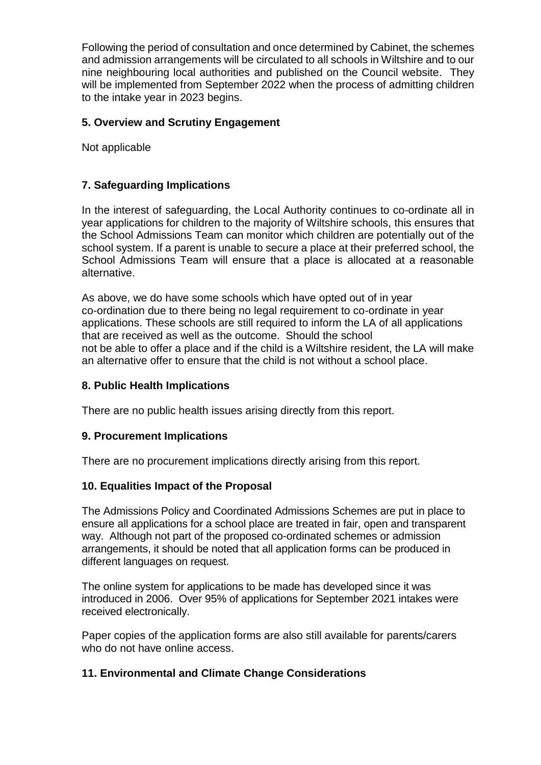Following the period of consultation and once determined by Cabinet, the schemes and admission arrangements will be circulated to all schools in Wiltshire and to our nine neighbouring local authorities and published on the Council website. They will be implemented from September 2022 when the process of admitting children to the intake year in 2023 begins.

## **5. Overview and Scrutiny Engagement**

Not applicable

# **7. Safeguarding Implications**

In the interest of safeguarding, the Local Authority continues to co-ordinate all in year applications for children to the majority of Wiltshire schools, this ensures that the School Admissions Team can monitor which children are potentially out of the school system. If a parent is unable to secure a place at their preferred school, the School Admissions Team will ensure that a place is allocated at a reasonable alternative.

As above, we do have some schools which have opted out of in year co-ordination due to there being no legal requirement to co-ordinate in year applications. These schools are still required to inform the LA of all applications that are received as well as the outcome. Should the school not be able to offer a place and if the child is a Wiltshire resident, the LA will make an alternative offer to ensure that the child is not without a school place.

## **8. Public Health Implications**

There are no public health issues arising directly from this report.

## **9. Procurement Implications**

There are no procurement implications directly arising from this report.

## **10. Equalities Impact of the Proposal**

The Admissions Policy and Coordinated Admissions Schemes are put in place to ensure all applications for a school place are treated in fair, open and transparent way. Although not part of the proposed co-ordinated schemes or admission arrangements, it should be noted that all application forms can be produced in different languages on request.

The online system for applications to be made has developed since it was introduced in 2006. Over 95% of applications for September 2021 intakes were received electronically.

Paper copies of the application forms are also still available for parents/carers who do not have online access.

## **11. Environmental and Climate Change Considerations**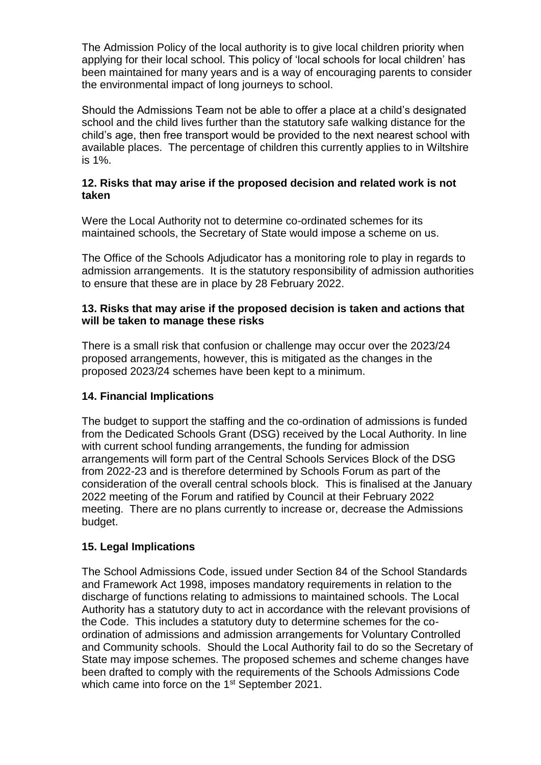The Admission Policy of the local authority is to give local children priority when applying for their local school. This policy of 'local schools for local children' has been maintained for many years and is a way of encouraging parents to consider the environmental impact of long journeys to school.

Should the Admissions Team not be able to offer a place at a child's designated school and the child lives further than the statutory safe walking distance for the child's age, then free transport would be provided to the next nearest school with available places. The percentage of children this currently applies to in Wiltshire is 1%.

### **12. Risks that may arise if the proposed decision and related work is not taken**

Were the Local Authority not to determine co-ordinated schemes for its maintained schools, the Secretary of State would impose a scheme on us.

The Office of the Schools Adjudicator has a monitoring role to play in regards to admission arrangements. It is the statutory responsibility of admission authorities to ensure that these are in place by 28 February 2022.

### **13. Risks that may arise if the proposed decision is taken and actions that will be taken to manage these risks**

There is a small risk that confusion or challenge may occur over the 2023/24 proposed arrangements, however, this is mitigated as the changes in the proposed 2023/24 schemes have been kept to a minimum.

## **14. Financial Implications**

The budget to support the staffing and the co-ordination of admissions is funded from the Dedicated Schools Grant (DSG) received by the Local Authority. In line with current school funding arrangements, the funding for admission arrangements will form part of the Central Schools Services Block of the DSG from 2022-23 and is therefore determined by Schools Forum as part of the consideration of the overall central schools block. This is finalised at the January 2022 meeting of the Forum and ratified by Council at their February 2022 meeting. There are no plans currently to increase or, decrease the Admissions budget.

#### **15. Legal Implications**

The School Admissions Code, issued under Section 84 of the School Standards and Framework Act 1998, imposes mandatory requirements in relation to the discharge of functions relating to admissions to maintained schools. The Local Authority has a statutory duty to act in accordance with the relevant provisions of the Code. This includes a statutory duty to determine schemes for the coordination of admissions and admission arrangements for Voluntary Controlled and Community schools. Should the Local Authority fail to do so the Secretary of State may impose schemes. The proposed schemes and scheme changes have been drafted to comply with the requirements of the Schools Admissions Code which came into force on the 1<sup>st</sup> September 2021.